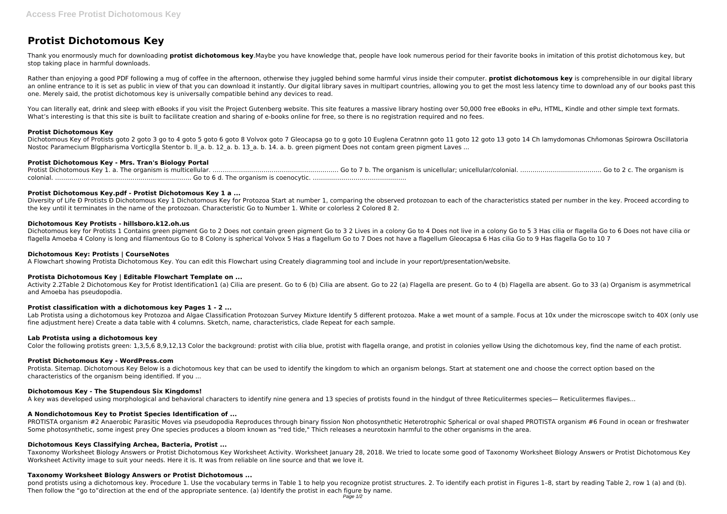# **Protist Dichotomous Key**

Thank you enormously much for downloading **protist dichotomous key**.Maybe you have knowledge that, people have look numerous period for their favorite books in imitation of this protist dichotomous key, but stop taking place in harmful downloads.

Rather than enjoying a good PDF following a mug of coffee in the afternoon, otherwise they juggled behind some harmful virus inside their computer. **protist dichotomous key** is comprehensible in our digital library an online entrance to it is set as public in view of that you can download it instantly. Our digital library saves in multipart countries, allowing you to get the most less latency time to download any of our books past th one. Merely said, the protist dichotomous key is universally compatible behind any devices to read.

You can literally eat, drink and sleep with eBooks if you visit the Project Gutenberg website. This site features a massive library hosting over 50,000 free eBooks in ePu, HTML, Kindle and other simple text formats. What's interesting is that this site is built to facilitate creation and sharing of e-books online for free, so there is no registration required and no fees.

Diversity of Life Đ Protists Đ Dichotomous Key 1 Dichotomous Key for Protozoa Start at number 1, comparing the observed protozoan to each of the characteristics stated per number in the key. Proceed according to the key until it terminates in the name of the protozoan. Characteristic Go to Number 1. White or colorless 2 Colored 8 2.

# **Protist Dichotomous Key**

Dichotomous Key of Protists goto 2 goto 3 go to 4 goto 5 goto 6 goto 8 Volvox goto 7 Gleocapsa go to g goto 10 Euglena Ceratnnn goto 11 goto 12 goto 13 goto 14 Ch lamydomonas Chñomonas Spirowra Oscillatoria Nostoc Paramecium Blgpharisma Vorticglla Stentor b. II a. b. 12 a. b. 13 a. b. 14. a. b. green pigment Does not contam green pigment Laves ...

Dichotomous key for Protists 1 Contains green pigment Go to 2 Does not contain green pigment Go to 3 2 Lives in a colony Go to 4 Does not live in a colony Go to 5 3 Has cilia or flagella Go to 6 Does not have cilia or flagella Amoeba 4 Colony is long and filamentous Go to 8 Colony is spherical Volvox 5 Has a flagellum Go to 7 Does not have a flagellum Gleocapsa 6 Has cilia Go to 9 Has flagella Go to 10 7

# **Protist Dichotomous Key - Mrs. Tran's Biology Portal**

Protist Dichotomous Key 1. a. The organism is multicellular. …………………………………………….………. Go to 7 b. The organism is unicellular; unicellular/colonial. …………………………………. Go to 2 c. The organism is colonial. …………………………………………………………. Go to 6 d. The organism is coenocytic. ……………………………………….

Lab Protista using a dichotomous key Protozoa and Algae Classification Protozoan Survey Mixture Identify 5 different protozoa. Make a wet mount of a sample. Focus at 10x under the microscope switch to 40X (only use fine adjustment here) Create a data table with 4 columns. Sketch, name, characteristics, clade Repeat for each sample.

# **Protist Dichotomous Key.pdf - Protist Dichotomous Key 1 a ...**

# **Dichotomous Key Protists - hillsboro.k12.oh.us**

PROTISTA organism #2 Anaerobic Parasitic Moves via pseudopodia Reproduces through binary fission Non photosynthetic Heterotrophic Spherical or oval shaped PROTISTA organism #6 Found in ocean or freshwater Some photosynthetic, some ingest prey One species produces a bloom known as "red tide," Thich releases a neurotoxin harmful to the other organisms in the area.

## **Dichotomous Key: Protists | CourseNotes**

pond protists using a dichotomous key. Procedure 1. Use the vocabulary terms in Table 1 to help you recognize protist structures. 2. To identify each protist in Figures 1–8, start by reading Table 2, row 1 (a) and (b). Then follow the "go to"direction at the end of the appropriate sentence. (a) Identify the protist in each figure by name.

A Flowchart showing Protista Dichotomous Key. You can edit this Flowchart using Creately diagramming tool and include in your report/presentation/website.

## **Protista Dichotomous Key | Editable Flowchart Template on ...**

Activity 2.2Table 2 Dichotomous Key for Protist Identification1 (a) Cilia are present. Go to 6 (b) Cilia are absent. Go to 22 (a) Flagella are present. Go to 4 (b) Flagella are absent. Go to 33 (a) Organism is asymmetrical and Amoeba has pseudopodia.

# **Protist classification with a dichotomous key Pages 1 - 2 ...**

## **Lab Protista using a dichotomous key**

Color the following protists green: 1,3,5,6 8,9,12,13 Color the background: protist with cilia blue, protist with flagella orange, and protist in colonies yellow Using the dichotomous key, find the name of each protist.

## **Protist Dichotomous Key - WordPress.com**

Protista. Sitemap. Dichotomous Key Below is a dichotomous key that can be used to identify the kingdom to which an organism belongs. Start at statement one and choose the correct option based on the characteristics of the organism being identified. If you ...

# **Dichotomous Key - The Stupendous Six Kingdoms!**

A key was developed using morphological and behavioral characters to identify nine genera and 13 species of protists found in the hindgut of three Reticulitermes species— Reticulitermes flavipes...

# **A Nondichotomous Key to Protist Species Identification of ...**

# **Dichotomous Keys Classifying Archea, Bacteria, Protist ...**

Taxonomy Worksheet Biology Answers or Protist Dichotomous Key Worksheet Activity. Worksheet January 28, 2018. We tried to locate some good of Taxonomy Worksheet Biology Answers or Protist Dichotomous Key Worksheet Activity image to suit your needs. Here it is. It was from reliable on line source and that we love it.

## **Taxonomy Worksheet Biology Answers or Protist Dichotomous ...**